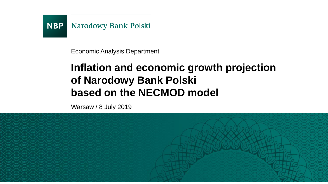

Economic Analysis Department

# **Inflation and economic growth projection of Narodowy Bank Polski based on the NECMOD model**

Warsaw / 8 July 2019

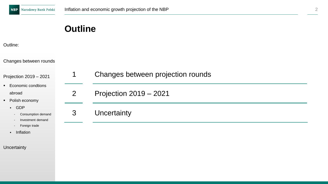## **Outline**

#### Outline:

Changes between rounds

Projection 2019 – 2021

- Economic condtions abroad
- Polish economy
	- GDP
		- Consumption demand
		- Investment demand
		- Foreign trade
	- Inflation

**Uncertainty** 

| 1 | Changes between projection rounds |
|---|-----------------------------------|
| 2 | Projection 2019 – 2021            |
| 3 | Uncertainty                       |
|   |                                   |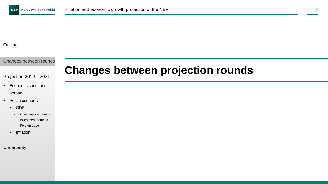Outline:

Changes between rounds

Projection 2019 – 2021

- Economic condtions abroad
- Polish economy
	- GDP
		- Consumption demand
		- Investment demand
		- Foreign trade
	- Inflation

#### **Uncertainty**

## **Changes between projection rounds**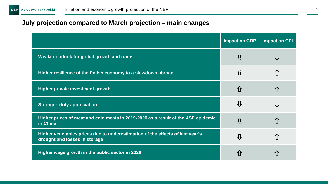### **July projection compared to March projection – main changes**

|                                                                                                                | <b>Impact on GDP</b> | <b>Impact on CPI</b> |
|----------------------------------------------------------------------------------------------------------------|----------------------|----------------------|
| Weaker outlook for global growth and trade                                                                     | ⇩                    |                      |
| Higher resilience of the Polish economy to a slowdown abroad                                                   | 介                    | 介                    |
| <b>Higher private investment growth</b>                                                                        | ⇧                    | ⇧                    |
| <b>Stronger złoty appreciation</b>                                                                             | ⇩                    | ſł                   |
| Higher prices of meat and cold meats in 2019-2020 as a result of the ASF epidemic<br>in China                  | ⇩                    | 介                    |
| Higher vegetables prices due to underestimation of the effects of last year's<br>drought and losses in storage | ⇩                    | 介                    |
| Higher wage growth in the public sector in 2020                                                                |                      |                      |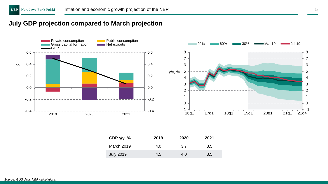### **July GDP projection compared to March projection**



| GDP $y/y, %$     | 2019 | 2020 | 2021 |
|------------------|------|------|------|
| March 2019       | 4.0  | 3.7  | 3.5  |
| <b>July 2019</b> | 4.5  | 4.O  | 3.5  |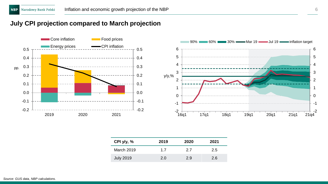### **July CPI projection compared to March projection**



| CPI y/y, %       | 2019 | 2020          | 2021 |
|------------------|------|---------------|------|
| March 2019       | 1.7  | 2.7           | 2.5  |
| <b>July 2019</b> | 2.0  | $2.9^{\circ}$ | 2.6  |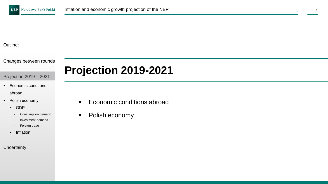#### Outline:

Changes between rounds

#### Projection 2019 – 2021

- Economic condtions abroad
- Polish economy
	- GDP
		- Consumption demand
		- Investment demand
		- Foreign trade
	- Inflation

#### **Uncertainty**

# **Projection 2019-2021**

- Economic conditions abroad
- Polish economy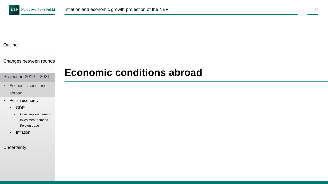#### Outline:

#### Changes between rounds

#### Projection 2019 – 2021

- Economic condtions abroad
- Polish economy
	- GDP
		- Consumption demand
		- Investment demand
		- Foreign trade
	- Inflation

#### **Uncertainty**

## **Economic conditions abroad**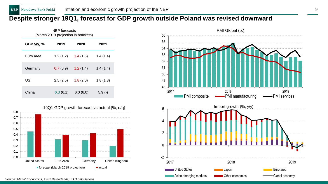### **Despite stronger 19Q1, forecast for GDP growth outside Poland was revised downward**

| NBP forecasts<br>(March 2019 projection in brackets) |          |          |          |  |  |
|------------------------------------------------------|----------|----------|----------|--|--|
| GDP $y/y$ , %                                        | 2019     | 2020     | 2021     |  |  |
| Euro area                                            | 1.2(1.2) | 1.4(1.5) | 1.4(1.4) |  |  |
| Germany                                              | 0.7(0.9) | 1.2(1.4) | 1.4(1.4) |  |  |
| US                                                   | 2.5(2.5) | 1.8(2.0) | 1.8(1.8) |  |  |
| China                                                | 6.3(6.1) | 6.0(6.0) | $5.9(-)$ |  |  |





*Source: Markit Economics, CPB Netherlands, EAD calculations*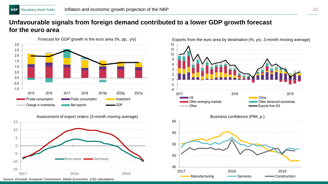### **Unfavourable signals from foreign demand contributed to a lower GDP growth forecast for the euro area**





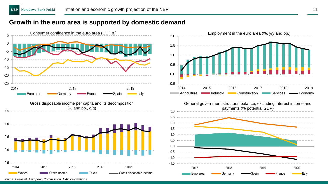### **Growth in the euro area is supported by domestic demand**



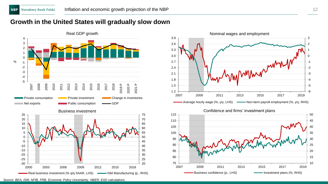### **Growth in the United States will gradually slow down**



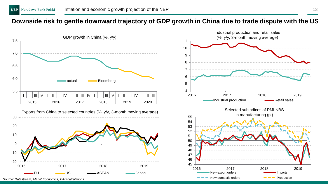### **Downside risk to gentle downward trajectory of GDP growth in China due to trade dispute with the US**

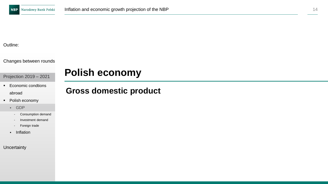#### Outline:

Changes between rounds

Projection 2019 – 2021

- Economic condtions abroad
- Polish economy
	- GDP
		- Consumption demand
		- Investment demand
		- Foreign trade
	- Inflation

**Uncertainty** 

## **Polish economy**

## **Gross domestic product**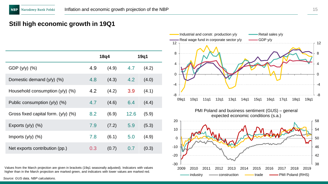### **Still high economic growth in 19Q1**

|                                          |     | 18q4  |      | 19q1  |
|------------------------------------------|-----|-------|------|-------|
| GDP $(y/y)$ $(\%)$                       | 4.9 | (4.9) | 4.7  | (4.2) |
| Domestic demand $(y/y)$ (%)              | 4.8 | (4.3) | 4.2  | (4.0) |
| Household consumption (y/y) (%)          | 4.2 | (4.2) | 3.9  | (4.1) |
| Public consumption $(y/y)$ (%)           | 4.7 | (4.6) | 6.4  | (4.4) |
| Gross fixed capital form. $(y/y)$ $(\%)$ | 8.2 | (6.9) | 12.6 | (5.9) |
| Exports $(y/y)$ $(\%)$                   | 7.9 | (7.2) | 5.9  | (5.3) |
| Imports $(y/y)$ $(\%)$                   | 7.8 | (6.1) | 5.0  | (4.9) |
| Net exports contribution (pp.)           | 0.3 | (0.7) | 0.7  | (0.3) |

Values from the March projection are given in brackets (19q1 seasonally adjusted). Indicators with values higher than in the March projection are marked green, and indicators with lower values are marked red.

*Source: GUS data, NBP calculations.*

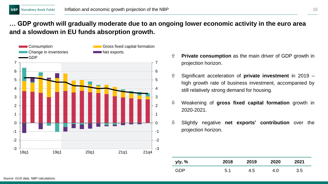### **… GDP growth will gradually moderate due to an ongoing lower economic activity in the euro area and a slowdown in EU funds absorption growth.**



- **Private consumption** as the main driver of GDP growth in projection horizon.
- Significant acceleration of **private investment** in 2019 high growth rate of business investment, accompanied by still relatively strong demand for housing.
- Weakening of **gross fixed capital formation** growth in 2020-2021.
- Slightly negative **net exports' contribution** over the projection horizon.

| y/y, % | 2018 | 2019 | 2020 | 2021 |
|--------|------|------|------|------|
| GDP    | 5.1  | 4.5  | 4.0  | 3.5  |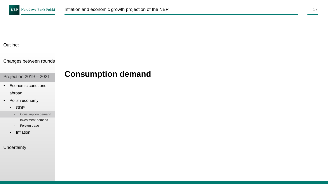#### Outline:

#### Changes between rounds

Projection 2019 – 2021

- Economic condtions abroad
- Polish economy
	- GDP
		- Consumption demand
		- Investment demand
		- Foreign trade
	- Inflation

#### **Uncertainty**

## **Consumption demand**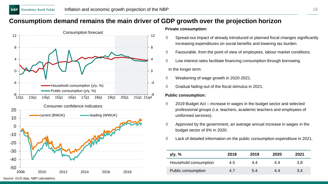### **Consumptiom demand remains the main driver of GDP growth over the projection horizon**



#### **Private consumption:**

- $\hat{U}$  Spread-out impact of already introduced or planned fiscal changes significantly increasing expenditures on social benefits and lowering tax burden.
- $\hat{U}$  Favourable, from the point of view of employees, labour market conditions.
- Low interest rates facilitate financing consumption through borrowing.

In the longer term:

- $\sqrt{10}$  Weakening of wage growth in 2020-2021.
- $\theta$  Gradual fading-out of the fiscal stimulus in 2021.

#### **Public consumption:**

- $\hat{v}$  2019 Budget Act increase in wages in the budget sector and selected professional groups (i.a. teachers, academic teachers and employees of uniformed services).
- $\hat{U}$  Approved by the government, an average annual increase in wages in the budget sector of 6% in 2020.
- $\updownarrow$  Lack of detailed information on the public consumption expenditure in 2021.

| y/y, %                | 2018 | 2019 | 2020 | 2021 |
|-----------------------|------|------|------|------|
| Household consumption | 4.5  | 4.4  | 4.4  | 3.8  |
| Public consumption    | 4.7  | 5.4  | 4.4  | 3.4  |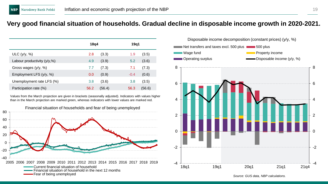### **Very good financial situation of households. Gradual decline in disposable income growth in 2020-2021.**

|                                | 18q4 |        | 19q1   |        |
|--------------------------------|------|--------|--------|--------|
| ULC $(y/y, %)$                 | 2.8  | (3.3)  | 1.9    | (3.5)  |
| Labour productivity $(y/y, %)$ | 4.9  | (3.9)  | 5.2    | (3.6)  |
| Gross wages $(y/y, %)$         | 7.7  | (7.3)  | 7.1    | (7.3)  |
| Employment LFS $(y/y, %)$      | 0.0  | (0.9)  | $-0.4$ | (0.6)  |
| Unemployment rate LFS (%)      | 3.8  | (3.6)  | 3.8    | (3.5)  |
| Participation rate (%)         | 56.2 | (56.4) | 56.3   | (56.6) |

Values from the March projection are given in brackets (seasonally adjusted). Indicators with values higher than in the March projection are marked green, whereas indicators with lower values are marked red.





*Source: GUS data, NBP calculations.*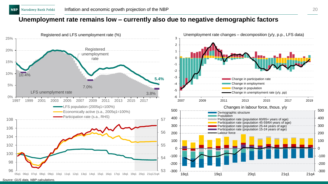### **Unemployment rate remains low – currently also due to negative demographic factors**

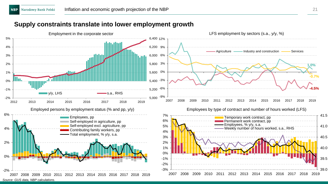### **Supply constraints translate into lower employment growth**

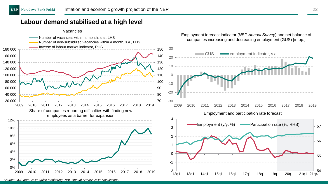### **Labour demand stabilised at a high level**



*Source: GUS data, NBP Quick Monitoring, NBP Annual Survey, NBP calculations.*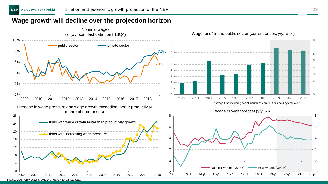### **Wage growth will decline over the projection horizon**

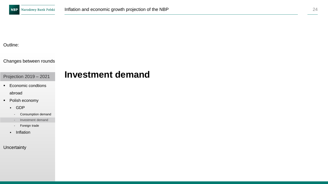**Investment demand**

#### Outline:

#### Changes between rounds

Projection 2019 – 2021

- Economic condtions abroad
- Polish economy
	- GDP
		- Consumption demand
		- Investment demand
		- Foreign trade
	- Inflation

#### **Uncertainty**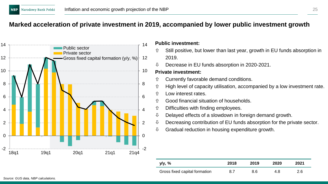### **Marked acceleration of private investment in 2019, accompanied by lower public investment growth**



#### **Public investment:**

- Still positive, but lower than last year, growth in EU funds absorption in 2019.
- $\sqrt{0}$  Decrease in EU funds absorption in 2020-2021.

#### **Private investment:**

- Currently favorable demand conditions.
- $\hat{U}$  High level of capacity utilisation, accompanied by a low investment rate.
- Low interest rates.
- Good financial situation of households.
- $\hat{U}$  Difficulties with finding employees.
- $\downarrow$  Delayed effects of a slowdown in foreign demand growth.
- $\theta$  Decreasing contribution of EU funds absorption for the private sector.
- $\mathbb U$  Gradual reduction in housing expenditure growth.

| y/y, %                        | 2018 | 2019 | 2020 | 2021 |
|-------------------------------|------|------|------|------|
| Gross fixed capital formation | 8.7  | 8.6  | 4.8  | 2.6  |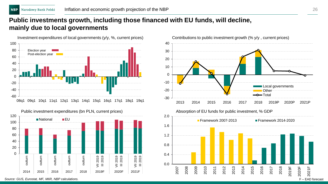### **Public investments growth, including those financed with EU funds, will decline, mainly due to local governments**





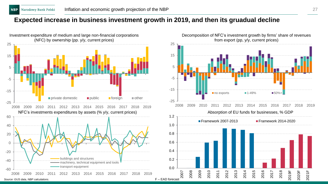### **Expected increase in business investment growth in 2019, and then its gruadual decline**



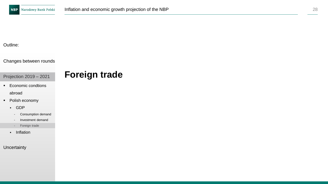**Foreign trade**

#### Outline:

#### Changes between rounds

### Projection 2019 – 2021

- Economic condtions abroad
- Polish economy
	- GDP
		- Consumption demand
		- Investment demand
		- Foreign trade
	- Inflation

#### **Uncertainty**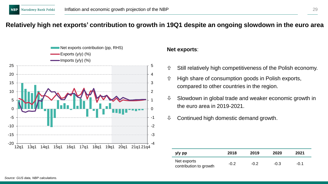### **Relatively high net exports' contribution to growth in 19Q1 despite an ongoing slowdown in the euro area**



#### **Net exports**:

- $\hat{U}$  Still relatively high competitiveness of the Polish economy.
- $\hat{U}$  High share of consumption goods in Polish exports, compared to other countries in the region.
- $\mathbb U$  Slowdown in global trade and weaker economic growth in the euro area in 2019-2021.
- $\&$  Continued high domestic demand growth.

| y/y pp                                | 2018   | 2019   | 2020   | 2021   |
|---------------------------------------|--------|--------|--------|--------|
| Net exports<br>contribution to growth | $-0.2$ | $-0.2$ | $-0.3$ | $-0.1$ |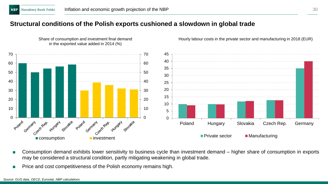### **Structural conditions of the Polish exports cushioned a slowdown in global trade**



Share of consumption and investment final demand in the exported value added in 2014 (%)

- Consumption demand exhibits lower sensitivity to business cycle than investment demand higher share of consumption in exports may be considered a structural condition, partly mitigating weakening in global trade.
- Price and cost competitiveness of the Polish economy remains high.

Hourly labour costs in the private sector and manufacturing in 2018 (EUR)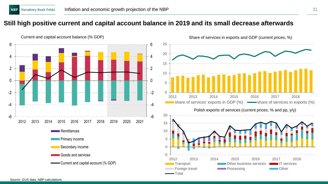### **Still high positive current and capital account balance in 2019 and its small decrease afterwards**





*Source: GUS data, NBP calculations.*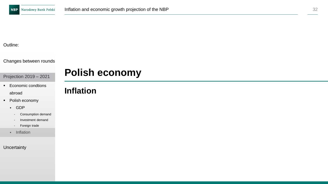#### Outline:

#### Changes between rounds

Projection 2019 – 2021

- Economic condtions abroad
- Polish economy
	- GDP
		- Consumption demand
		- Investment demand
		- Foreign trade
	- Inflation

#### **Uncertainty**

## **Polish economy**

## **Inflation**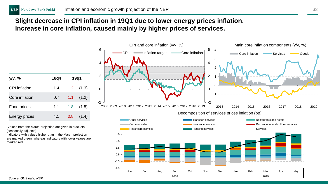### **Slight decrease in CPI inflation in 19Q1 due to lower energy prices inflation. Increase in core inflation, caused mainly by higher prices of services.**

| y/y, %         | 18q4 | 19q1             |               |
|----------------|------|------------------|---------------|
| CPI inflation  | 1.4  |                  | $1.2$ $(1.3)$ |
| Core inflation | 0.7  | 1.1 <sup>2</sup> | (1.2)         |
| Food prices    | 1.1  | 1.8              | (1.5)         |
| Energy prices  | 4.1  | 0.8              | (1.4)         |

Values from the March projection are given in brackets (seasonally adjusted).

Indicators with values higher than in the March projection are marked green, whereas indicators with lower values are marked red

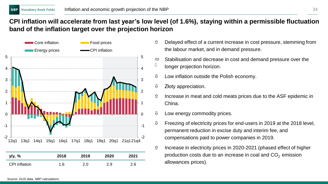### **CPI inflation will accelerate from last year's low level (of 1.6%), staying within a permissible fluctuation band of the inflation target over the projection horizon**



- Delayed effect of a current increase in cost pressure, stemming from the labour market, and in demand pressure.
- $\Leftrightarrow$  Stabilisation and decrease in cost and demand pressure over the  $\mathbb U$ longer projection horizon.
- $\downarrow$  Low inflation outside the Polish economy.
- $\psi$  Złoty appreciation.
- $\hat{U}$  Increase in meat and cold meats prices due to the ASF epidemic in China.
- $\updownarrow$  Low energy commodity prices.
- $\updownarrow$  Freezing of electricity prices for end-users in 2019 at the 2018 level, permanent reduction in excise duty and interim fee, and compensations paid to power companies in 2019.
- $\hat{U}$  Increase in electricity prices in 2020-2021 (phased effect of higher production costs due to an increase in coal and  $CO<sub>2</sub>$  emission allowances prices).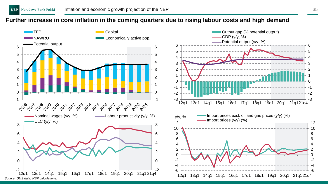### **Further increase in core inflation in the coming quarters due to rising labour costs and high demand**

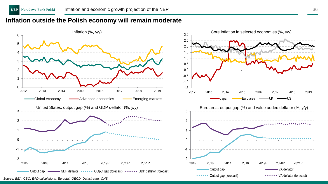### **Inflation outside the Polish economy will remain moderate**

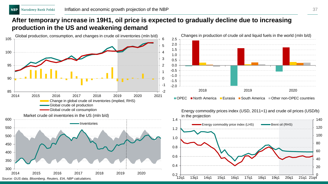### **After temporary increase in 19H1, oil price is expected to gradually decline due to increasing production in the US and weakening demand**





 $\blacksquare$  OPEC  $\blacksquare$  North America  $\blacksquare$  Eurasia  $\blacksquare$  South America  $\blacksquare$  Other non-OPEC countries

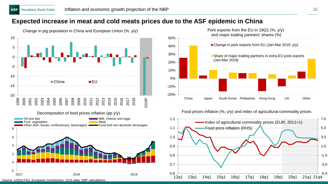### **Expected increase in meat and cold meats prices due to the ASF epidemic in China**



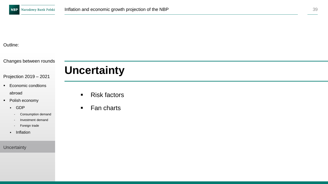#### Outline:

Changes between rounds

# **Uncertainty**

■ Economic condtions abroad

Projection 2019 – 2021

- Polish economy
	- GDP
		- Consumption demand
		- Investment demand
		- Foreign trade
	- Inflation

**Uncertainty** 

- Risk factors
- Fan charts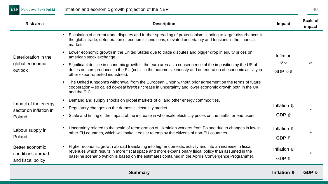**NBP** Narodowy Bank Polski

| <b>Risk area</b>                     | <b>Description</b>                                                                                                                                                                                                                                             | Impact                       | Scale of<br>impact |
|--------------------------------------|----------------------------------------------------------------------------------------------------------------------------------------------------------------------------------------------------------------------------------------------------------------|------------------------------|--------------------|
|                                      | Escalation of current trade disputes and further spreading of protectionism, leading to larger disturbances in<br>the global trade, deterioration of economic conditions, elevated uncertainty and tensions in the financial<br>markets.                       | Inflation                    |                    |
| Deterioration in the                 | Lower economic growth in the United States due to trade disputes and bigger drop in equity prices on<br>american stock exchange.                                                                                                                               |                              |                    |
| global economic<br>outlook           | Significant decline in economic growth in the euro area as a consequence of the imposition by the US of<br>duties on cars produced in the EU (crisis in the automotive industy and deterioration of economic activity in<br>other export-oriented industries). | ↑↑<br>GDP $\mathbf{\hat{H}}$ |                    |
|                                      | The United Kingdom's withdrawal from the European Union without prior agreement on the terms of future<br>$\blacksquare$<br>cooperation – so called no-deal brexit (increase in uncertainty and lower economic growth both in the UK<br>and the EU)            |                              |                    |
| Impact of the energy                 | Demand and supply shocks on global markets of oil and other energy commodities.                                                                                                                                                                                |                              |                    |
| sector on inflation in               | Regulatory changes on the domestic electricity market.                                                                                                                                                                                                         | Inflation $\hat{v}$          |                    |
| Poland                               | Scale and timing of the impact of the increase in wholesale electricity prices on the tariffs for end users.<br>٠                                                                                                                                              | GDP $\hat{v}$                |                    |
| Labour supply in                     | Uncertainty related to the scale of reemigration of Ukrainian workers from Poland due to changes in law in<br>other EU countries, which will make it easier to employ the citizens of non-EU countries.                                                        |                              |                    |
| Poland                               |                                                                                                                                                                                                                                                                | GDP $\psi$                   |                    |
| Better economic<br>conditions abroad | Higher economic growth abroad translating into higher domestic activity and into an increase in fiscal<br>revenues which results in more fiscal space and more expansionary fiscal policy than assumed in the                                                  | Inflation $\hat{v}$          |                    |
| and fiscal policy                    | baseline scenario (which is based on the estimates contained in the April's Convergence Programme).                                                                                                                                                            | GDP 介                        |                    |
|                                      |                                                                                                                                                                                                                                                                |                              |                    |

**Summary Inflation** *GDP* **GDP** *GDP*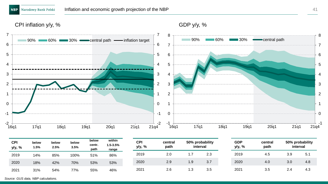#### CPI inflation y/y, %



| <b>CPI</b><br>y/y, % | below<br>1.5% | below<br>2.5% | below<br>3.5% | below<br>centr.<br>path | within<br>1.5-3.5%<br>range | CPI<br>y/y, % | central<br>path | 50% probability<br>interval |     | GDP<br>y/y, % | central<br>path | 50% probability<br>interval |     |
|----------------------|---------------|---------------|---------------|-------------------------|-----------------------------|---------------|-----------------|-----------------------------|-----|---------------|-----------------|-----------------------------|-----|
| 2019                 | 14%           | 85%           | 100%          | 51%                     | 86%                         | 2019          | 2.0             | ı. <i>ı</i>                 | 2.3 | 2019          | 4.5             | 3.9                         | 5.1 |
| 2020                 | 18%           | 42%           | 70%           | 53%                     | 53%                         | 2020          | 2.9             | 1.9                         | 3.7 | 2020          | 4.0             | 3.0                         | 4.8 |
| 2021                 | 31%           | 54%           | 77%           | 55%                     | 46%                         | 2021          | 2.6             | 1.3                         | 3.5 | 2021          | 3.5             | 2.4                         | 4.3 |

*Source: GUS data, NBP calculations.*